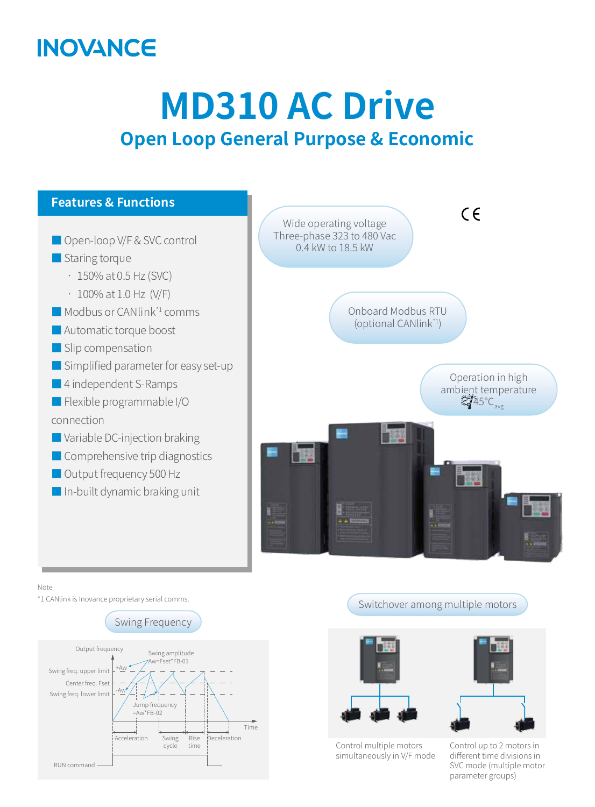## **INOVANCE**

# **MD310 AC Drive Open Loop General Purpose & Economic**



Note

\*1 CANlink is Inovance proprietary serial comms.





Switchover among multiple motors



Control multiple motors simultaneously in V/F mode

Control up to 2 motors in different time divisions in SVC mode (multiple motor parameter groups)